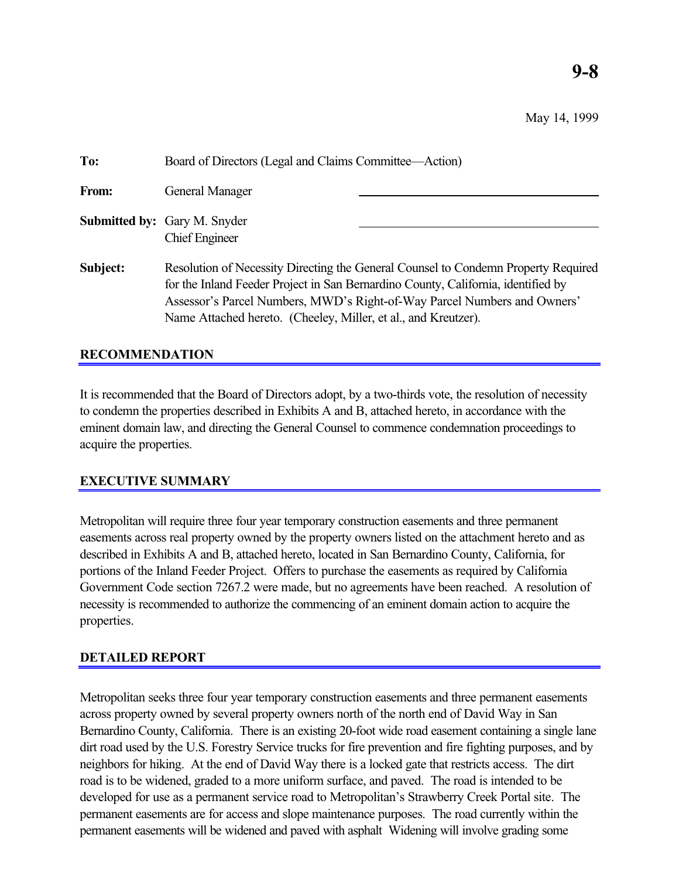| To:      | Board of Directors (Legal and Claims Committee—Action)                                                                                                                                                                                                                                                                |  |
|----------|-----------------------------------------------------------------------------------------------------------------------------------------------------------------------------------------------------------------------------------------------------------------------------------------------------------------------|--|
| From:    | General Manager                                                                                                                                                                                                                                                                                                       |  |
|          | <b>Submitted by:</b> Gary M. Snyder<br><b>Chief Engineer</b>                                                                                                                                                                                                                                                          |  |
| Subject: | Resolution of Necessity Directing the General Counsel to Condemn Property Required<br>for the Inland Feeder Project in San Bernardino County, California, identified by<br>Assessor's Parcel Numbers, MWD's Right-of-Way Parcel Numbers and Owners'<br>Name Attached hereto. (Cheeley, Miller, et al., and Kreutzer). |  |

## **RECOMMENDATION**

It is recommended that the Board of Directors adopt, by a two-thirds vote, the resolution of necessity to condemn the properties described in Exhibits A and B, attached hereto, in accordance with the eminent domain law, and directing the General Counsel to commence condemnation proceedings to acquire the properties.

## **EXECUTIVE SUMMARY**

Metropolitan will require three four year temporary construction easements and three permanent easements across real property owned by the property owners listed on the attachment hereto and as described in Exhibits A and B, attached hereto, located in San Bernardino County, California, for portions of the Inland Feeder Project. Offers to purchase the easements as required by California Government Code section 7267.2 were made, but no agreements have been reached. A resolution of necessity is recommended to authorize the commencing of an eminent domain action to acquire the properties.

#### **DETAILED REPORT**

Metropolitan seeks three four year temporary construction easements and three permanent easements across property owned by several property owners north of the north end of David Way in San Bernardino County, California. There is an existing 20-foot wide road easement containing a single lane dirt road used by the U.S. Forestry Service trucks for fire prevention and fire fighting purposes, and by neighbors for hiking. At the end of David Way there is a locked gate that restricts access. The dirt road is to be widened, graded to a more uniform surface, and paved. The road is intended to be developed for use as a permanent service road to Metropolitan's Strawberry Creek Portal site. The permanent easements are for access and slope maintenance purposes. The road currently within the permanent easements will be widened and paved with asphalt Widening will involve grading some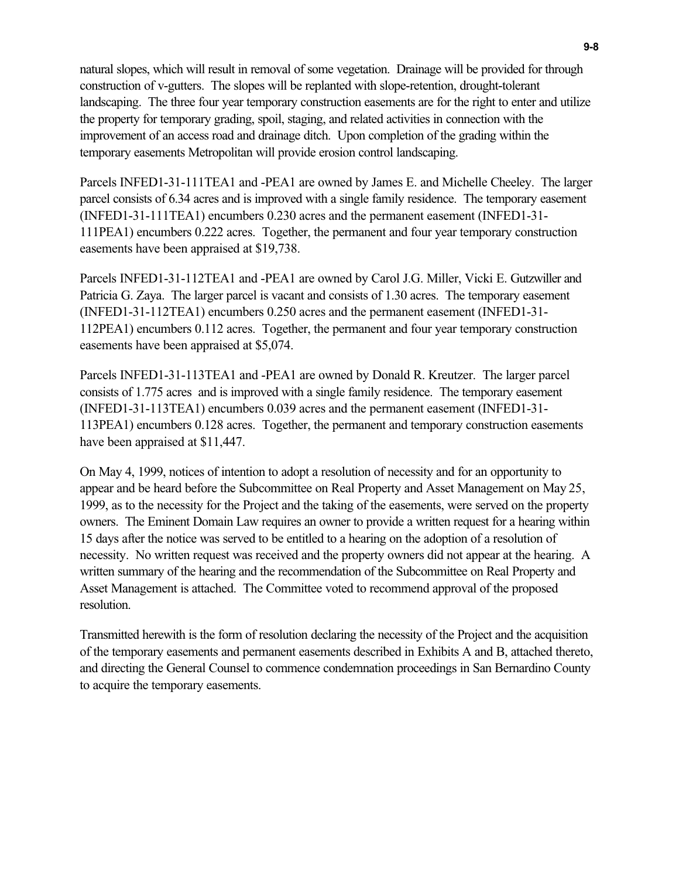natural slopes, which will result in removal of some vegetation. Drainage will be provided for through construction of v-gutters. The slopes will be replanted with slope-retention, drought-tolerant landscaping. The three four year temporary construction easements are for the right to enter and utilize the property for temporary grading, spoil, staging, and related activities in connection with the improvement of an access road and drainage ditch. Upon completion of the grading within the temporary easements Metropolitan will provide erosion control landscaping.

Parcels INFED1-31-111TEA1 and -PEA1 are owned by James E. and Michelle Cheeley. The larger parcel consists of 6.34 acres and is improved with a single family residence. The temporary easement (INFED1-31-111TEA1) encumbers 0.230 acres and the permanent easement (INFED1-31- 111PEA1) encumbers 0.222 acres. Together, the permanent and four year temporary construction easements have been appraised at \$19,738.

Parcels INFED1-31-112TEA1 and -PEA1 are owned by Carol J.G. Miller, Vicki E. Gutzwiller and Patricia G. Zaya. The larger parcel is vacant and consists of 1.30 acres. The temporary easement (INFED1-31-112TEA1) encumbers 0.250 acres and the permanent easement (INFED1-31- 112PEA1) encumbers 0.112 acres. Together, the permanent and four year temporary construction easements have been appraised at \$5,074.

Parcels INFED1-31-113TEA1 and -PEA1 are owned by Donald R. Kreutzer. The larger parcel consists of 1.775 acres and is improved with a single family residence. The temporary easement (INFED1-31-113TEA1) encumbers 0.039 acres and the permanent easement (INFED1-31- 113PEA1) encumbers 0.128 acres. Together, the permanent and temporary construction easements have been appraised at \$11,447.

On May 4, 1999, notices of intention to adopt a resolution of necessity and for an opportunity to appear and be heard before the Subcommittee on Real Property and Asset Management on May 25, 1999, as to the necessity for the Project and the taking of the easements, were served on the property owners. The Eminent Domain Law requires an owner to provide a written request for a hearing within 15 days after the notice was served to be entitled to a hearing on the adoption of a resolution of necessity. No written request was received and the property owners did not appear at the hearing. A written summary of the hearing and the recommendation of the Subcommittee on Real Property and Asset Management is attached. The Committee voted to recommend approval of the proposed resolution.

Transmitted herewith is the form of resolution declaring the necessity of the Project and the acquisition of the temporary easements and permanent easements described in Exhibits A and B, attached thereto, and directing the General Counsel to commence condemnation proceedings in San Bernardino County to acquire the temporary easements.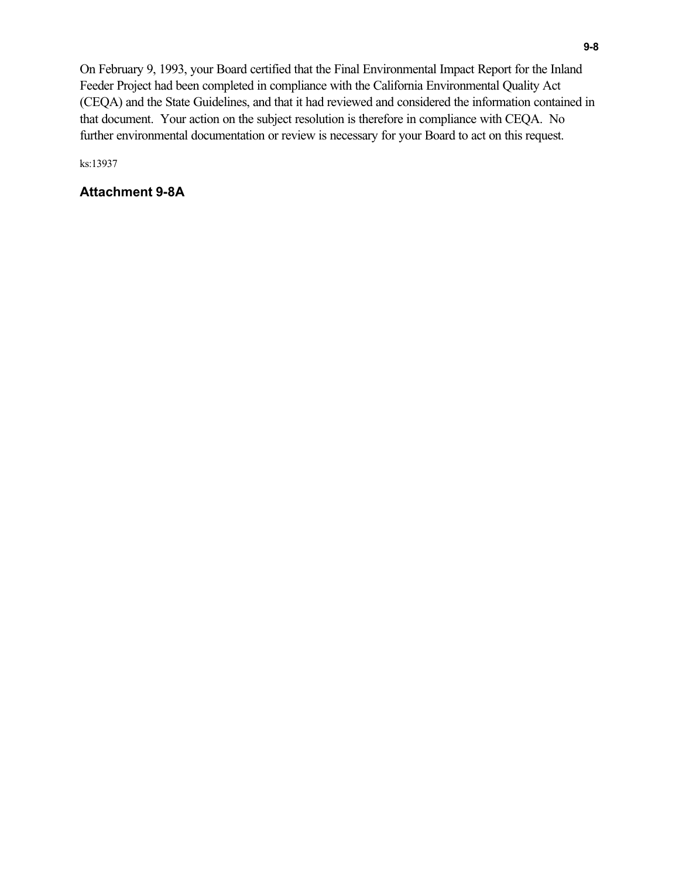On February 9, 1993, your Board certified that the Final Environmental Impact Report for the Inland Feeder Project had been completed in compliance with the California Environmental Quality Act (CEQA) and the State Guidelines, and that it had reviewed and considered the information contained in that document. Your action on the subject resolution is therefore in compliance with CEQA. No further environmental documentation or review is necessary for your Board to act on this request.

ks:13937

## **Attachment 9-8A**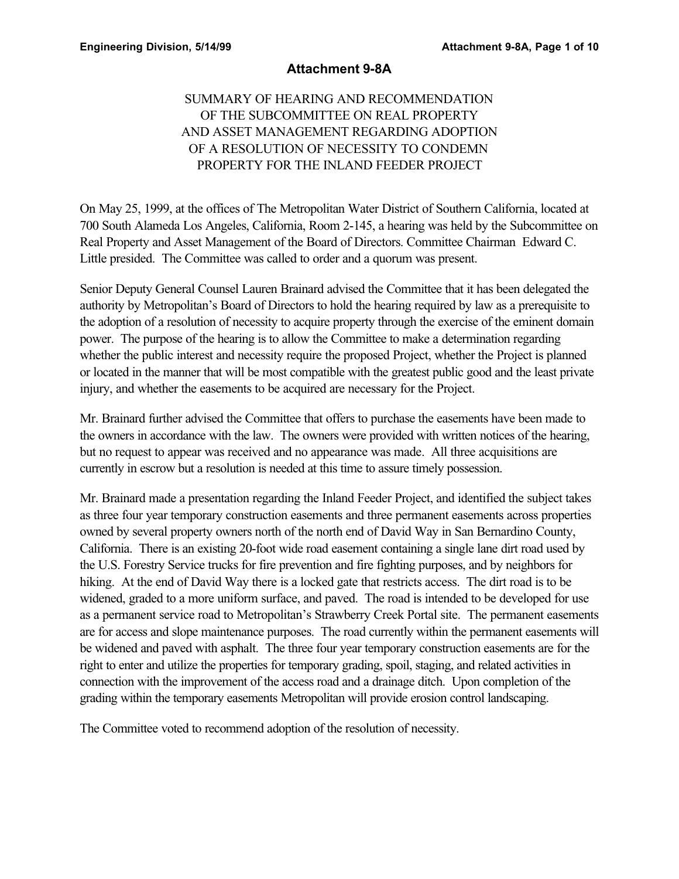## **Attachment 9-8A**

# SUMMARY OF HEARING AND RECOMMENDATION OF THE SUBCOMMITTEE ON REAL PROPERTY AND ASSET MANAGEMENT REGARDING ADOPTION OF A RESOLUTION OF NECESSITY TO CONDEMN PROPERTY FOR THE INLAND FEEDER PROJECT

On May 25, 1999, at the offices of The Metropolitan Water District of Southern California, located at 700 South Alameda Los Angeles, California, Room 2-145, a hearing was held by the Subcommittee on Real Property and Asset Management of the Board of Directors. Committee Chairman Edward C. Little presided. The Committee was called to order and a quorum was present.

Senior Deputy General Counsel Lauren Brainard advised the Committee that it has been delegated the authority by Metropolitan's Board of Directors to hold the hearing required by law as a prerequisite to the adoption of a resolution of necessity to acquire property through the exercise of the eminent domain power. The purpose of the hearing is to allow the Committee to make a determination regarding whether the public interest and necessity require the proposed Project, whether the Project is planned or located in the manner that will be most compatible with the greatest public good and the least private injury, and whether the easements to be acquired are necessary for the Project.

Mr. Brainard further advised the Committee that offers to purchase the easements have been made to the owners in accordance with the law. The owners were provided with written notices of the hearing, but no request to appear was received and no appearance was made. All three acquisitions are currently in escrow but a resolution is needed at this time to assure timely possession.

Mr. Brainard made a presentation regarding the Inland Feeder Project, and identified the subject takes as three four year temporary construction easements and three permanent easements across properties owned by several property owners north of the north end of David Way in San Bernardino County, California. There is an existing 20-foot wide road easement containing a single lane dirt road used by the U.S. Forestry Service trucks for fire prevention and fire fighting purposes, and by neighbors for hiking. At the end of David Way there is a locked gate that restricts access. The dirt road is to be widened, graded to a more uniform surface, and paved. The road is intended to be developed for use as a permanent service road to Metropolitan's Strawberry Creek Portal site. The permanent easements are for access and slope maintenance purposes. The road currently within the permanent easements will be widened and paved with asphalt. The three four year temporary construction easements are for the right to enter and utilize the properties for temporary grading, spoil, staging, and related activities in connection with the improvement of the access road and a drainage ditch. Upon completion of the grading within the temporary easements Metropolitan will provide erosion control landscaping.

The Committee voted to recommend adoption of the resolution of necessity.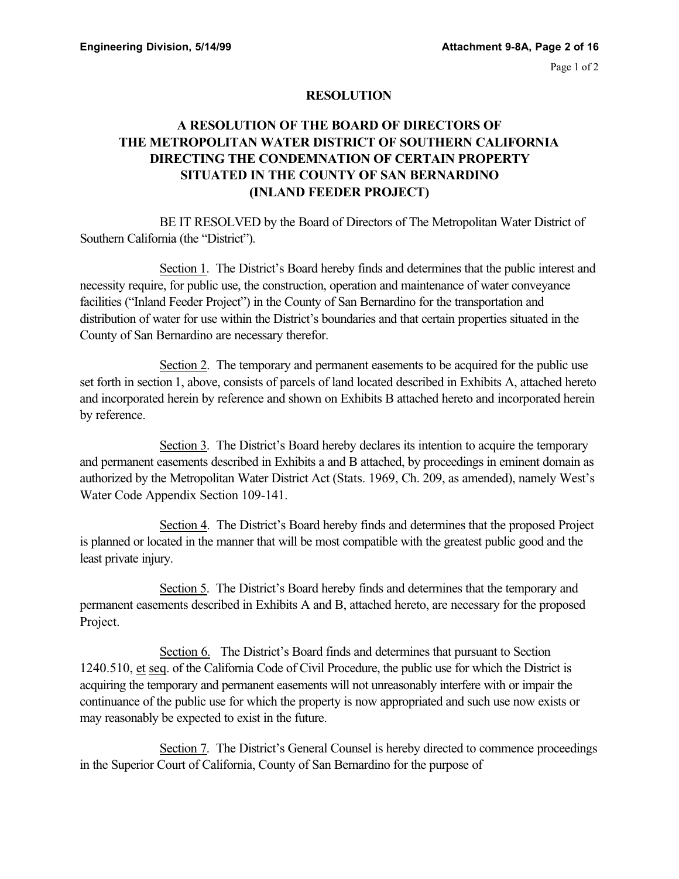### **RESOLUTION**

## **A RESOLUTION OF THE BOARD OF DIRECTORS OF THE METROPOLITAN WATER DISTRICT OF SOUTHERN CALIFORNIA DIRECTING THE CONDEMNATION OF CERTAIN PROPERTY SITUATED IN THE COUNTY OF SAN BERNARDINO (INLAND FEEDER PROJECT)**

BE IT RESOLVED by the Board of Directors of The Metropolitan Water District of Southern California (the "District").

Section 1. The District's Board hereby finds and determines that the public interest and necessity require, for public use, the construction, operation and maintenance of water conveyance facilities ("Inland Feeder Project") in the County of San Bernardino for the transportation and distribution of water for use within the District's boundaries and that certain properties situated in the County of San Bernardino are necessary therefor.

Section 2. The temporary and permanent easements to be acquired for the public use set forth in section 1, above, consists of parcels of land located described in Exhibits A, attached hereto and incorporated herein by reference and shown on Exhibits B attached hereto and incorporated herein by reference.

Section 3. The District's Board hereby declares its intention to acquire the temporary and permanent easements described in Exhibits a and B attached, by proceedings in eminent domain as authorized by the Metropolitan Water District Act (Stats. 1969, Ch. 209, as amended), namely West's Water Code Appendix Section 109-141.

Section 4. The District's Board hereby finds and determines that the proposed Project is planned or located in the manner that will be most compatible with the greatest public good and the least private injury.

Section 5. The District's Board hereby finds and determines that the temporary and permanent easements described in Exhibits A and B, attached hereto, are necessary for the proposed Project.

Section 6. The District's Board finds and determines that pursuant to Section 1240.510, et seq. of the California Code of Civil Procedure, the public use for which the District is acquiring the temporary and permanent easements will not unreasonably interfere with or impair the continuance of the public use for which the property is now appropriated and such use now exists or may reasonably be expected to exist in the future.

Section 7. The District's General Counsel is hereby directed to commence proceedings in the Superior Court of California, County of San Bernardino for the purpose of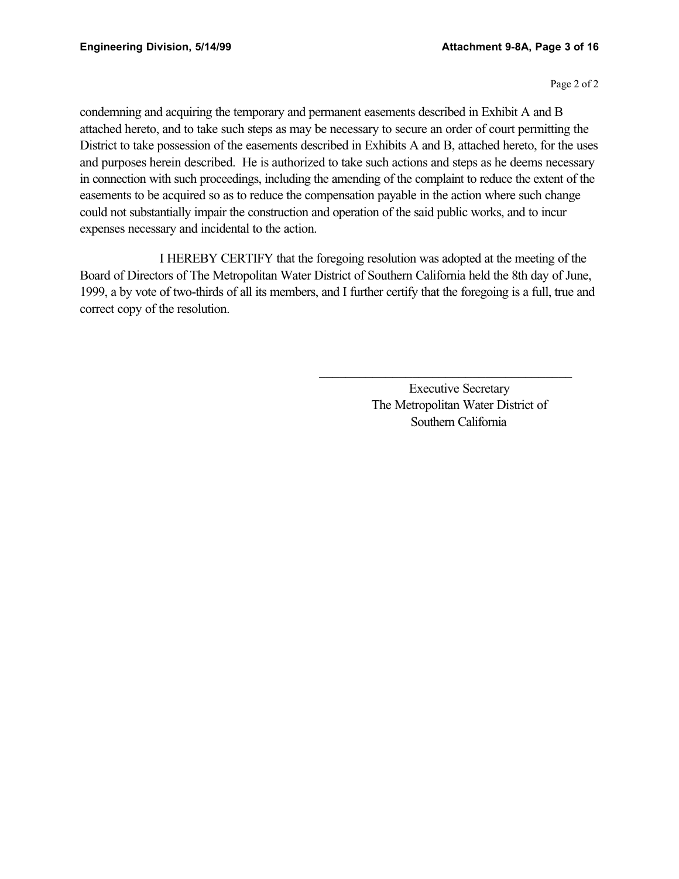Page 2 of 2

condemning and acquiring the temporary and permanent easements described in Exhibit A and B attached hereto, and to take such steps as may be necessary to secure an order of court permitting the District to take possession of the easements described in Exhibits A and B, attached hereto, for the uses and purposes herein described. He is authorized to take such actions and steps as he deems necessary in connection with such proceedings, including the amending of the complaint to reduce the extent of the easements to be acquired so as to reduce the compensation payable in the action where such change could not substantially impair the construction and operation of the said public works, and to incur expenses necessary and incidental to the action.

I HEREBY CERTIFY that the foregoing resolution was adopted at the meeting of the Board of Directors of The Metropolitan Water District of Southern California held the 8th day of June, 1999, a by vote of two-thirds of all its members, and I further certify that the foregoing is a full, true and correct copy of the resolution.

> Executive Secretary The Metropolitan Water District of Southern California

 $\overline{\phantom{a}}$  , and the set of the set of the set of the set of the set of the set of the set of the set of the set of the set of the set of the set of the set of the set of the set of the set of the set of the set of the s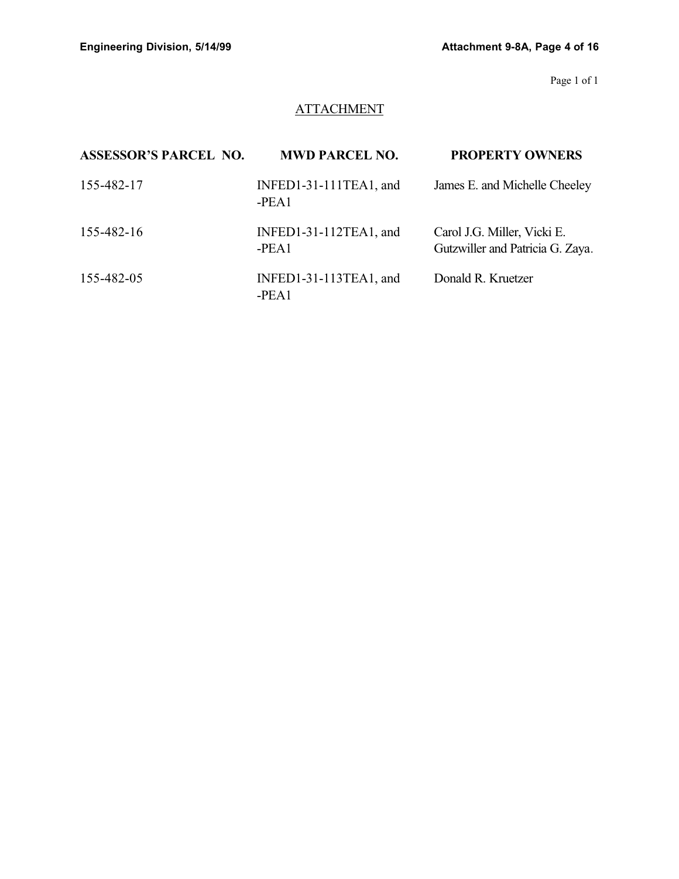# **ATTACHMENT**

| <b>ASSESSOR'S PARCEL NO.</b> | <b>MWD PARCEL NO.</b>             | <b>PROPERTY OWNERS</b>                                          |
|------------------------------|-----------------------------------|-----------------------------------------------------------------|
| 155-482-17                   | INFED1-31-111TEA1, and<br>$-PEA1$ | James E. and Michelle Cheeley                                   |
| 155-482-16                   | INFED1-31-112TEA1, and<br>$-PEA1$ | Carol J.G. Miller, Vicki E.<br>Gutzwiller and Patricia G. Zaya. |
| 155-482-05                   | INFED1-31-113TEA1, and<br>-PEA1   | Donald R. Kruetzer                                              |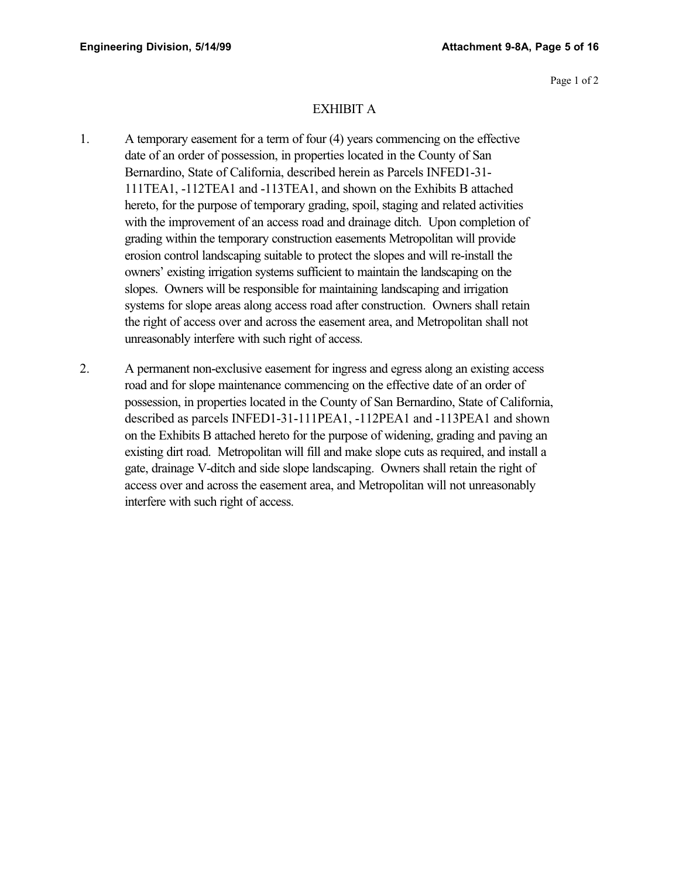#### EXHIBIT A

- 1. A temporary easement for a term of four (4) years commencing on the effective date of an order of possession, in properties located in the County of San Bernardino, State of California, described herein as Parcels INFED1-31- 111TEA1, -112TEA1 and -113TEA1, and shown on the Exhibits B attached hereto, for the purpose of temporary grading, spoil, staging and related activities with the improvement of an access road and drainage ditch. Upon completion of grading within the temporary construction easements Metropolitan will provide erosion control landscaping suitable to protect the slopes and will re-install the owners' existing irrigation systems sufficient to maintain the landscaping on the slopes. Owners will be responsible for maintaining landscaping and irrigation systems for slope areas along access road after construction. Owners shall retain the right of access over and across the easement area, and Metropolitan shall not unreasonably interfere with such right of access.
- 2. A permanent non-exclusive easement for ingress and egress along an existing access road and for slope maintenance commencing on the effective date of an order of possession, in properties located in the County of San Bernardino, State of California, described as parcels INFED1-31-111PEA1, -112PEA1 and -113PEA1 and shown on the Exhibits B attached hereto for the purpose of widening, grading and paving an existing dirt road. Metropolitan will fill and make slope cuts as required, and install a gate, drainage V-ditch and side slope landscaping. Owners shall retain the right of access over and across the easement area, and Metropolitan will not unreasonably interfere with such right of access.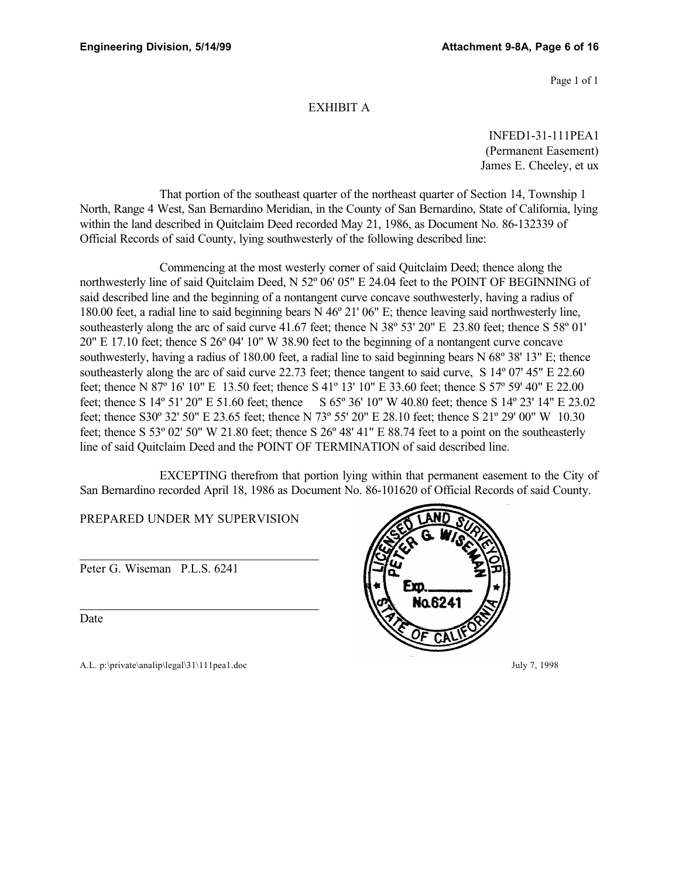#### EXHIBIT A

INFED1-31-111PEA1 (Permanent Easement) James E. Cheeley, et ux

That portion of the southeast quarter of the northeast quarter of Section 14, Township 1 North, Range 4 West, San Bernardino Meridian, in the County of San Bernardino, State of California, lying within the land described in Quitclaim Deed recorded May 21, 1986, as Document No. 86-132339 of Official Records of said County, lying southwesterly of the following described line:

Commencing at the most westerly corner of said Quitclaim Deed; thence along the northwesterly line of said Quitclaim Deed, N 52º 06' 05" E 24.04 feet to the POINT OF BEGINNING of said described line and the beginning of a nontangent curve concave southwesterly, having a radius of 180.00 feet, a radial line to said beginning bears N 46º 21' 06" E; thence leaving said northwesterly line, southeasterly along the arc of said curve 41.67 feet; thence N 38º 53' 20" E 23.80 feet; thence S 58º 01' 20" E 17.10 feet; thence S 26º 04' 10" W 38.90 feet to the beginning of a nontangent curve concave southwesterly, having a radius of 180.00 feet, a radial line to said beginning bears N 68° 38' 13" E; thence southeasterly along the arc of said curve 22.73 feet; thence tangent to said curve, S 14° 07' 45" E 22.60 feet; thence N 87º 16' 10" E 13.50 feet; thence S 41º 13' 10" E 33.60 feet; thence S 57º 59' 40" E 22.00 feet; thence S 14° 51' 20" E 51.60 feet; thence S 65° 36' 10" W 40.80 feet; thence S 14° 23' 14" E 23.02 feet; thence S30º 32' 50" E 23.65 feet; thence N 73º 55' 20" E 28.10 feet; thence S 21º 29' 00" W 10.30 feet; thence S 53º 02' 50" W 21.80 feet; thence S 26º 48' 41" E 88.74 feet to a point on the southeasterly line of said Quitclaim Deed and the POINT OF TERMINATION of said described line.

EXCEPTING therefrom that portion lying within that permanent easement to the City of San Bernardino recorded April 18, 1986 as Document No. 86-101620 of Official Records of said County.

PREPARED UNDER MY SUPERVISION

 $\overline{a}$ Peter G. Wiseman P.L.S. 6241

Date

 $\overline{\phantom{a}}$ 

A.L. p:\private\analip\legal\31\111pea1.doc July 7, 1998

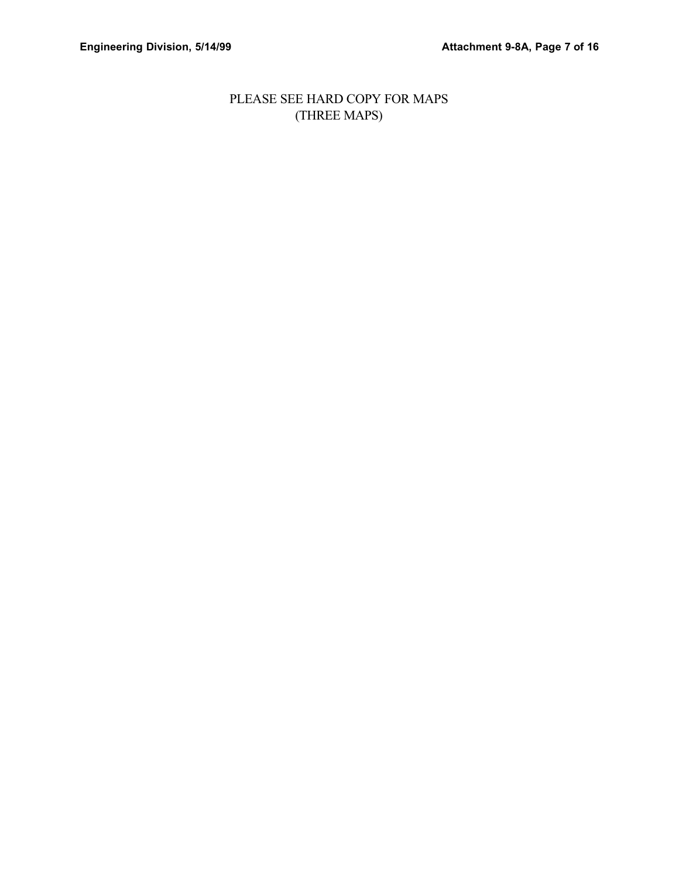PLEASE SEE HARD COPY FOR MAPS (THREE MAPS)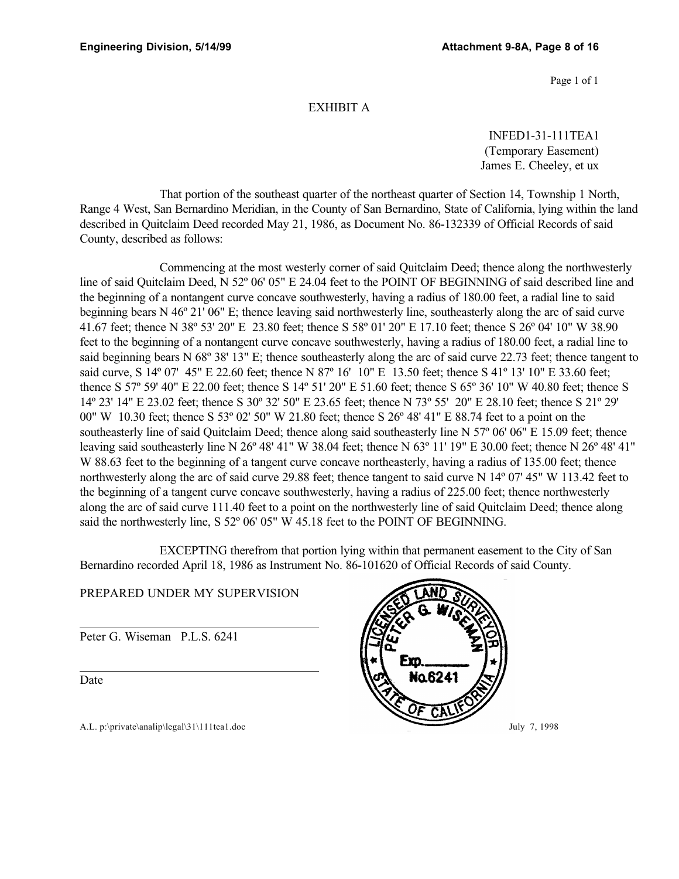#### EXHIBIT A

INFED1-31-111TEA1 (Temporary Easement) James E. Cheeley, et ux

That portion of the southeast quarter of the northeast quarter of Section 14, Township 1 North, Range 4 West, San Bernardino Meridian, in the County of San Bernardino, State of California, lying within the land described in Quitclaim Deed recorded May 21, 1986, as Document No. 86-132339 of Official Records of said County, described as follows:

Commencing at the most westerly corner of said Quitclaim Deed; thence along the northwesterly line of said Quitclaim Deed, N 52º 06' 05" E 24.04 feet to the POINT OF BEGINNING of said described line and the beginning of a nontangent curve concave southwesterly, having a radius of 180.00 feet, a radial line to said beginning bears N 46º 21' 06" E; thence leaving said northwesterly line, southeasterly along the arc of said curve 41.67 feet; thence N 38º 53' 20" E 23.80 feet; thence S 58º 01' 20" E 17.10 feet; thence S 26º 04' 10" W 38.90 feet to the beginning of a nontangent curve concave southwesterly, having a radius of 180.00 feet, a radial line to said beginning bears N 68º 38' 13" E; thence southeasterly along the arc of said curve 22.73 feet; thence tangent to said curve, S 14º 07' 45" E 22.60 feet; thence N 87º 16' 10" E 13.50 feet; thence S 41º 13' 10" E 33.60 feet; thence S 57º 59' 40" E 22.00 feet; thence S 14º 51' 20" E 51.60 feet; thence S 65º 36' 10" W 40.80 feet; thence S 14º 23' 14" E 23.02 feet; thence S 30º 32' 50" E 23.65 feet; thence N 73º 55' 20" E 28.10 feet; thence S 21º 29' 00" W 10.30 feet; thence S 53º 02' 50" W 21.80 feet; thence S 26º 48' 41" E 88.74 feet to a point on the southeasterly line of said Quitclaim Deed; thence along said southeasterly line N 57° 06' 06" E 15.09 feet; thence leaving said southeasterly line N 26º 48' 41" W 38.04 feet; thence N 63º 11' 19" E 30.00 feet; thence N 26º 48' 41" W 88.63 feet to the beginning of a tangent curve concave northeasterly, having a radius of 135.00 feet; thence northwesterly along the arc of said curve 29.88 feet; thence tangent to said curve N 14° 07' 45" W 113.42 feet to the beginning of a tangent curve concave southwesterly, having a radius of 225.00 feet; thence northwesterly along the arc of said curve 111.40 feet to a point on the northwesterly line of said Quitclaim Deed; thence along said the northwesterly line, S 52º 06' 05" W 45.18 feet to the POINT OF BEGINNING.

EXCEPTING therefrom that portion lying within that permanent easement to the City of San Bernardino recorded April 18, 1986 as Instrument No. 86-101620 of Official Records of said County.

PREPARED UNDER MY SUPERVISION

Peter G. Wiseman P.L.S. 6241

Date

 $\overline{a}$ 

 $\overline{\phantom{a}}$ 

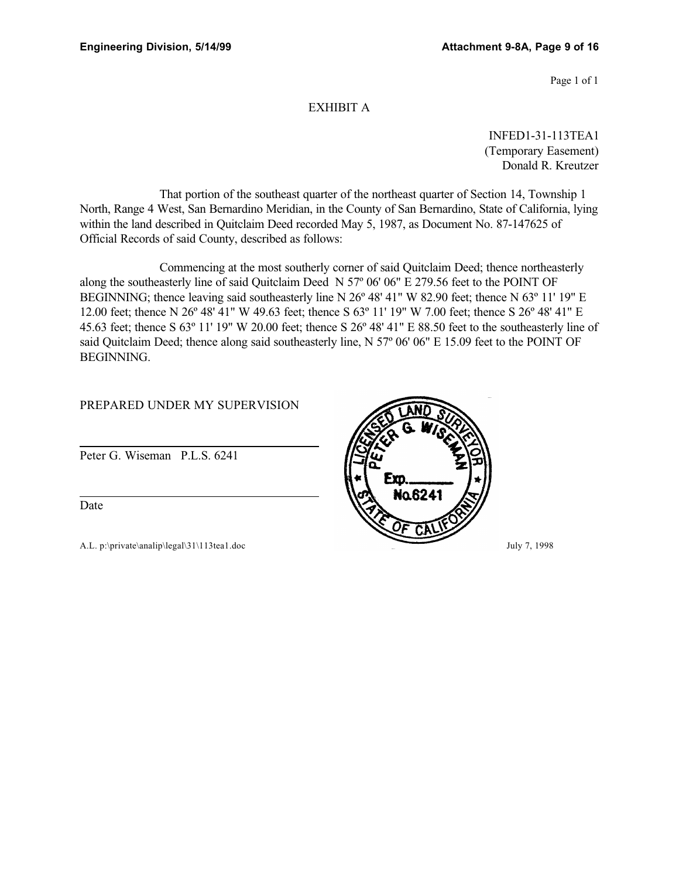#### EXHIBIT A

INFED1-31-113TEA1 (Temporary Easement) Donald R. Kreutzer

That portion of the southeast quarter of the northeast quarter of Section 14, Township 1 North, Range 4 West, San Bernardino Meridian, in the County of San Bernardino, State of California, lying within the land described in Quitclaim Deed recorded May 5, 1987, as Document No. 87-147625 of Official Records of said County, described as follows:

Commencing at the most southerly corner of said Quitclaim Deed; thence northeasterly along the southeasterly line of said Quitclaim Deed N 57º 06' 06" E 279.56 feet to the POINT OF BEGINNING; thence leaving said southeasterly line N 26° 48' 41" W 82.90 feet; thence N 63° 11' 19" E 12.00 feet; thence N 26º 48' 41" W 49.63 feet; thence S 63º 11' 19" W 7.00 feet; thence S 26º 48' 41" E 45.63 feet; thence S 63º 11' 19" W 20.00 feet; thence S 26º 48' 41" E 88.50 feet to the southeasterly line of said Quitclaim Deed; thence along said southeasterly line, N 57º 06' 06" E 15.09 feet to the POINT OF BEGINNING.

#### PREPARED UNDER MY SUPERVISION

Peter G. Wiseman P.L.S. 6241

Date

 $\overline{a}$ 

 $\overline{\phantom{a}}$ 

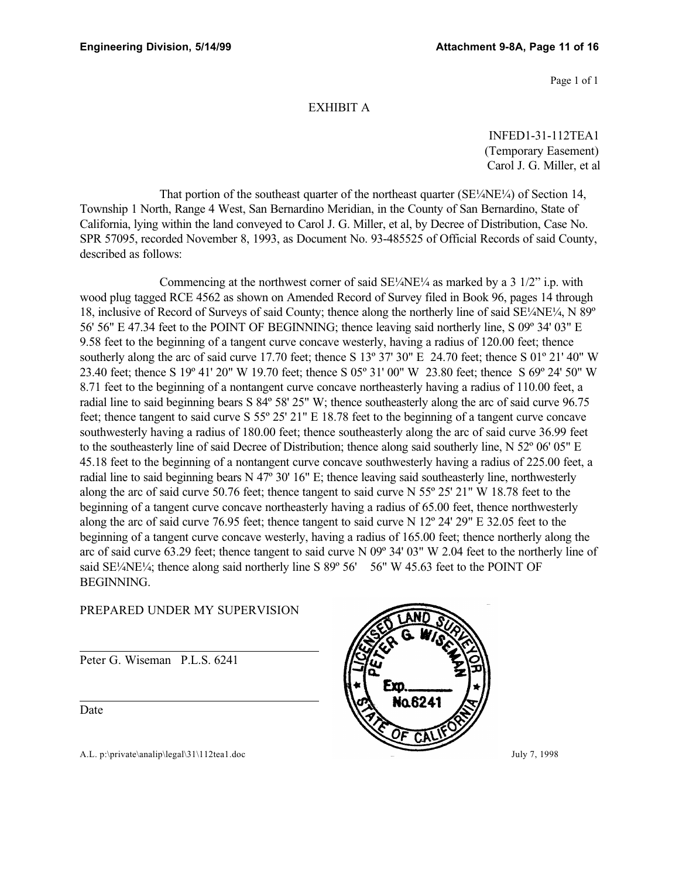#### EXHIBIT A

INFED1-31-112TEA1 (Temporary Easement) Carol J. G. Miller, et al

That portion of the southeast quarter of the northeast quarter (SE<sup> $1/4$ </sup>NE<sup> $1/4$ </sup>) of Section 14, Township 1 North, Range 4 West, San Bernardino Meridian, in the County of San Bernardino, State of California, lying within the land conveyed to Carol J. G. Miller, et al, by Decree of Distribution, Case No. SPR 57095, recorded November 8, 1993, as Document No. 93-485525 of Official Records of said County, described as follows:

Commencing at the northwest corner of said  $SE/4NE/4$  as marked by a 3 1/2" i.p. with wood plug tagged RCE 4562 as shown on Amended Record of Survey filed in Book 96, pages 14 through 18, inclusive of Record of Surveys of said County; thence along the northerly line of said SE¼NE¼, N 89º 56' 56" E 47.34 feet to the POINT OF BEGINNING; thence leaving said northerly line, S 09º 34' 03" E 9.58 feet to the beginning of a tangent curve concave westerly, having a radius of 120.00 feet; thence southerly along the arc of said curve 17.70 feet; thence S 13º 37' 30" E 24.70 feet; thence S 01º 21' 40" W 23.40 feet; thence S 19º 41' 20" W 19.70 feet; thence S 05º 31' 00" W 23.80 feet; thence S 69º 24' 50" W 8.71 feet to the beginning of a nontangent curve concave northeasterly having a radius of 110.00 feet, a radial line to said beginning bears S 84º 58' 25" W; thence southeasterly along the arc of said curve 96.75 feet; thence tangent to said curve S 55º 25' 21" E 18.78 feet to the beginning of a tangent curve concave southwesterly having a radius of 180.00 feet; thence southeasterly along the arc of said curve 36.99 feet to the southeasterly line of said Decree of Distribution; thence along said southerly line, N 52º 06' 05" E 45.18 feet to the beginning of a nontangent curve concave southwesterly having a radius of 225.00 feet, a radial line to said beginning bears N 47º 30' 16" E; thence leaving said southeasterly line, northwesterly along the arc of said curve 50.76 feet; thence tangent to said curve N 55º 25' 21" W 18.78 feet to the beginning of a tangent curve concave northeasterly having a radius of 65.00 feet, thence northwesterly along the arc of said curve 76.95 feet; thence tangent to said curve N 12º 24' 29" E 32.05 feet to the beginning of a tangent curve concave westerly, having a radius of 165.00 feet; thence northerly along the arc of said curve 63.29 feet; thence tangent to said curve N 09º 34' 03" W 2.04 feet to the northerly line of said SE¼NE¼; thence along said northerly line S 89° 56' 56" W 45.63 feet to the POINT OF BEGINNING.

#### PREPARED UNDER MY SUPERVISION

Peter G. Wiseman P.L.S. 6241

Date

 $\overline{a}$ 

 $\overline{\phantom{a}}$ 

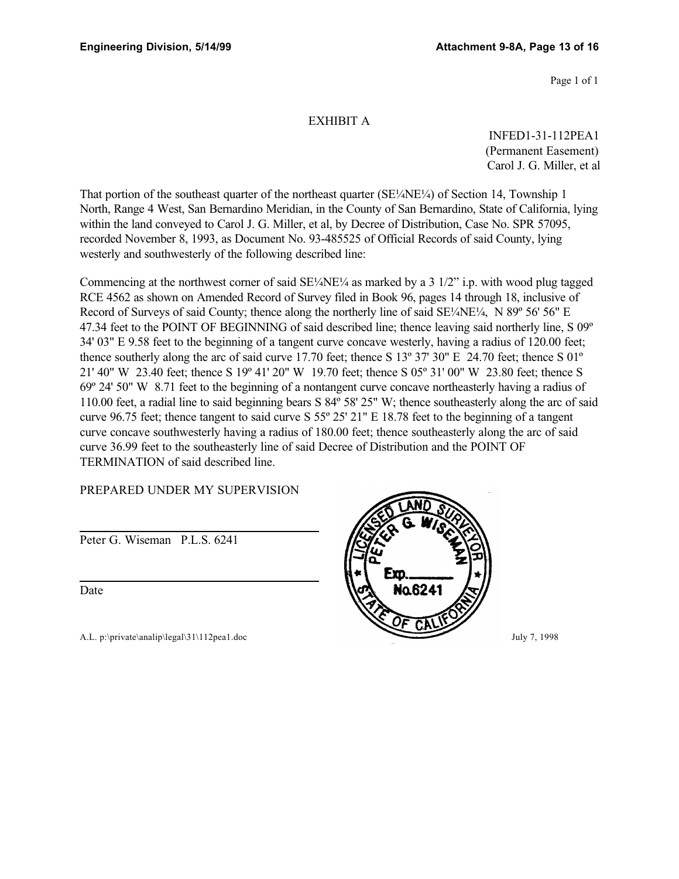#### EXHIBIT A

INFED1-31-112PEA1 (Permanent Easement) Carol J. G. Miller, et al

That portion of the southeast quarter of the northeast quarter (SE¼NE¼) of Section 14, Township 1 North, Range 4 West, San Bernardino Meridian, in the County of San Bernardino, State of California, lying within the land conveyed to Carol J. G. Miller, et al, by Decree of Distribution, Case No. SPR 57095, recorded November 8, 1993, as Document No. 93-485525 of Official Records of said County, lying westerly and southwesterly of the following described line:

Commencing at the northwest corner of said  $SE/4NE/4$  as marked by a 3 1/2" i.p. with wood plug tagged RCE 4562 as shown on Amended Record of Survey filed in Book 96, pages 14 through 18, inclusive of Record of Surveys of said County; thence along the northerly line of said SE<sup> $\frac{1}{4}$ </sup>, N 89° 56' 56" E 47.34 feet to the POINT OF BEGINNING of said described line; thence leaving said northerly line, S 09º 34' 03" E 9.58 feet to the beginning of a tangent curve concave westerly, having a radius of 120.00 feet; thence southerly along the arc of said curve 17.70 feet; thence S 13º 37' 30" E 24.70 feet; thence S 01º 21' 40" W 23.40 feet; thence S 19º 41' 20" W 19.70 feet; thence S 05º 31' 00" W 23.80 feet; thence S 69º 24' 50" W 8.71 feet to the beginning of a nontangent curve concave northeasterly having a radius of 110.00 feet, a radial line to said beginning bears S 84º 58' 25" W; thence southeasterly along the arc of said curve 96.75 feet; thence tangent to said curve S 55º 25' 21" E 18.78 feet to the beginning of a tangent curve concave southwesterly having a radius of 180.00 feet; thence southeasterly along the arc of said curve 36.99 feet to the southeasterly line of said Decree of Distribution and the POINT OF TERMINATION of said described line.

#### PREPARED UNDER MY SUPERVISION

Peter G. Wiseman P.L.S. 6241

Date

 $\overline{\phantom{a}}$ 

 $\overline{\phantom{a}}$ 

A.L. p:\private\analip\legal\31\112pea1.doc July 7, 1998